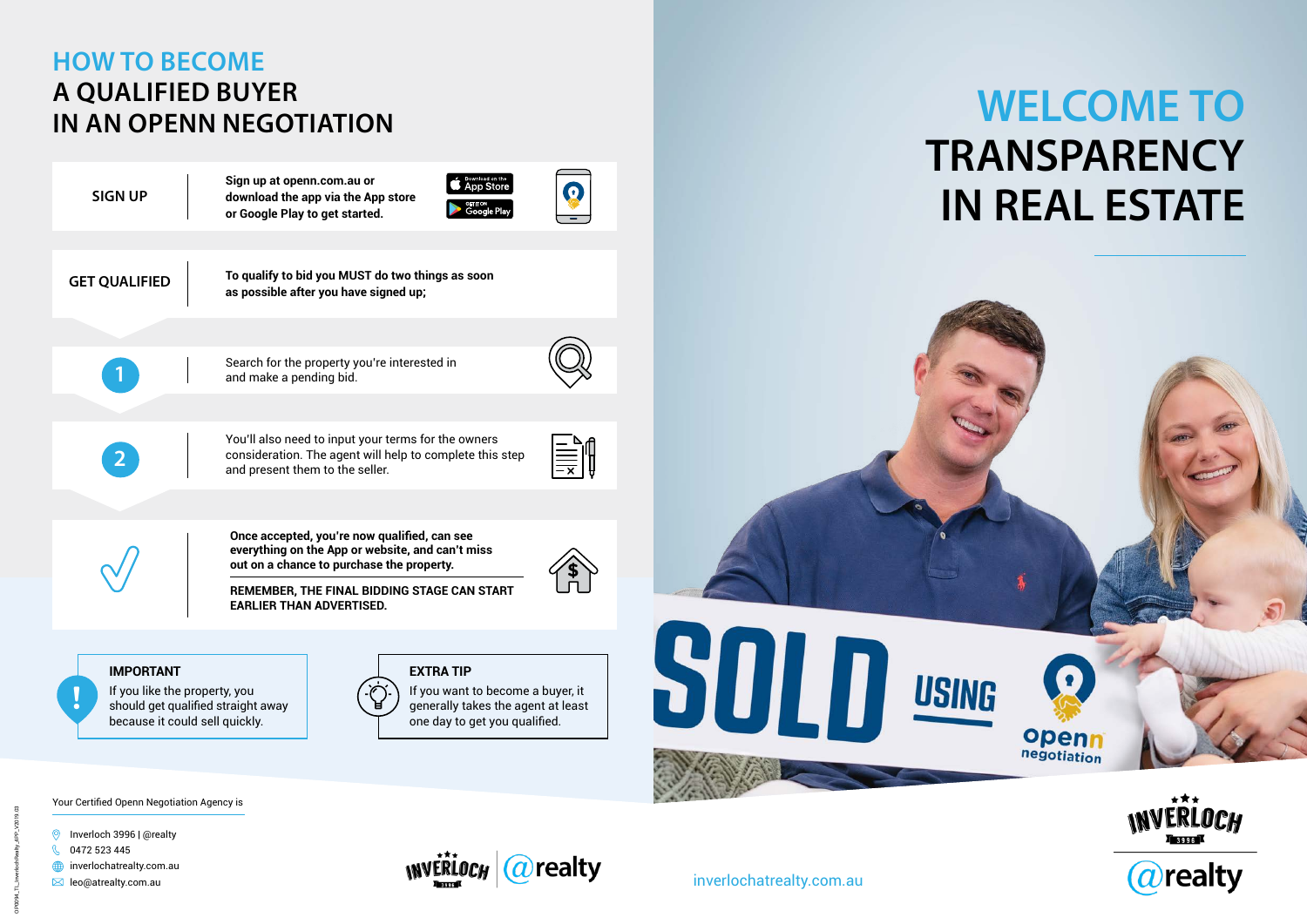

# **HOW TO BECOME A QUALIFIED BUYER IN AN OPENN NEGOTIATION**

**1** Search for the property you're interested in and make a pending bid.

You'll also need to input your terms for the owners

consideration. The agent will help to complete this step and present them to the seller.

**Sign up at openn.com.au or download the app via the App store or Google Play to get started.**



C

**Once accepted, you're now qualified, can see everything on the App or website, and can't miss out on a chance to purchase the property.** 

**REMEMBER, THE FINAL BIDDING STAGE CAN START EARLIER THAN ADVERTISED.**

**\$**

**THE SEARCH** 

**SIGN UP**

**GET QUALIFIED To qualify to bid you MUST do two things as soon as possible after you have signed up;**



### **IMPORTANT**

If you like the property, you If you like the property, you<br>
should get qualified straight away  $\begin{pmatrix} 1 & 1 \ 1 & 1 \end{pmatrix}$  or  $\begin{pmatrix} 1 & 1 \ 1 & 1 \end{pmatrix}$  of the agent at least because it could sell quickly.

generally takes the agent at least one day to get you qualified.

#### **EXTRA TIP**





inverlochatrealty.com.au

# **WELCOME TO TRANSPARENCY IN REAL ESTATE**





Your Certified Openn Negotiation Agency is

- **O** Inverloch 3996 | @realty
- $\mathcal{R}$ 0472 523 445
- $\bigoplus$  inverlochatrealty.com.au
- $\boxtimes$  leo@atrealty.com.au